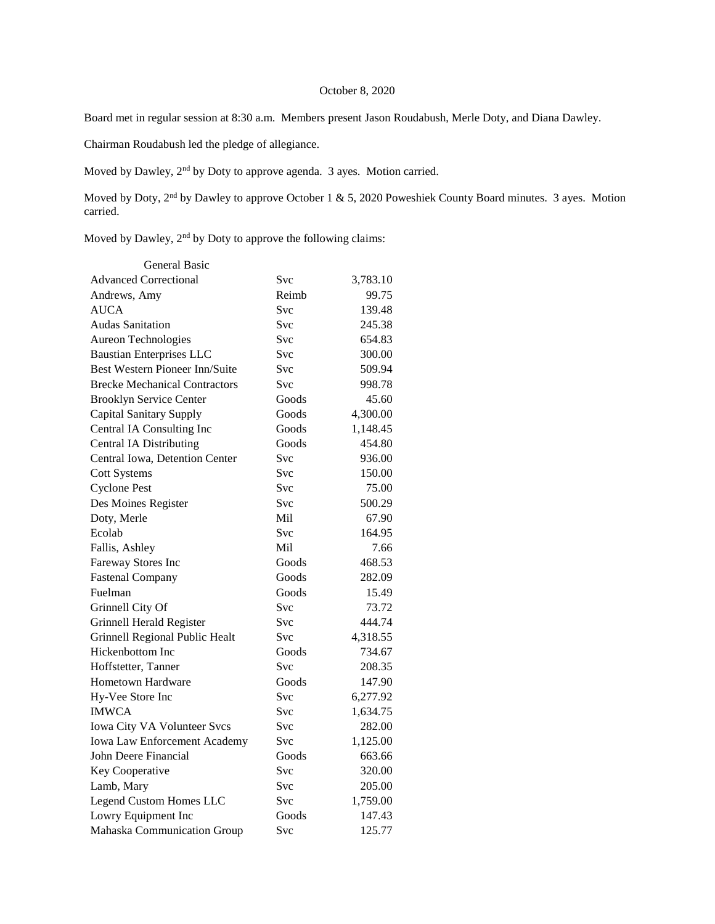## October 8, 2020

Board met in regular session at 8:30 a.m. Members present Jason Roudabush, Merle Doty, and Diana Dawley.

Chairman Roudabush led the pledge of allegiance.

Moved by Dawley, 2nd by Doty to approve agenda. 3 ayes. Motion carried.

Moved by Doty, 2<sup>nd</sup> by Dawley to approve October 1 & 5, 2020 Poweshiek County Board minutes. 3 ayes. Motion carried.

Moved by Dawley, 2nd by Doty to approve the following claims:

| General Basic                        |            |          |
|--------------------------------------|------------|----------|
| <b>Advanced Correctional</b>         | Svc        | 3,783.10 |
| Andrews, Amy                         | Reimb      | 99.75    |
| <b>AUCA</b>                          | Svc        | 139.48   |
| <b>Audas Sanitation</b>              | Svc        | 245.38   |
| Aureon Technologies                  | Svc        | 654.83   |
| <b>Baustian Enterprises LLC</b>      | <b>Svc</b> | 300.00   |
| Best Western Pioneer Inn/Suite       | <b>Svc</b> | 509.94   |
| <b>Brecke Mechanical Contractors</b> | Svc        | 998.78   |
| <b>Brooklyn Service Center</b>       | Goods      | 45.60    |
| Capital Sanitary Supply              | Goods      | 4,300.00 |
| Central IA Consulting Inc            | Goods      | 1,148.45 |
| Central IA Distributing              | Goods      | 454.80   |
| Central Iowa, Detention Center       | Svc        | 936.00   |
| <b>Cott Systems</b>                  | <b>Svc</b> | 150.00   |
| <b>Cyclone Pest</b>                  | Svc        | 75.00    |
| Des Moines Register                  | Svc        | 500.29   |
| Doty, Merle                          | Mil        | 67.90    |
| Ecolab                               | <b>Svc</b> | 164.95   |
| Fallis, Ashley                       | Mil        | 7.66     |
| Fareway Stores Inc                   | Goods      | 468.53   |
| <b>Fastenal Company</b>              | Goods      | 282.09   |
| Fuelman                              | Goods      | 15.49    |
| Grinnell City Of                     | <b>Svc</b> | 73.72    |
| Grinnell Herald Register             | Svc        | 444.74   |
| Grinnell Regional Public Healt       | <b>Svc</b> | 4,318.55 |
| Hickenbottom Inc                     | Goods      | 734.67   |
| Hoffstetter, Tanner                  | <b>Svc</b> | 208.35   |
| Hometown Hardware                    | Goods      | 147.90   |
| Hy-Vee Store Inc                     | Svc        | 6,277.92 |
| <b>IMWCA</b>                         | Svc        | 1,634.75 |
| Iowa City VA Volunteer Svcs          | Svc        | 282.00   |
| Iowa Law Enforcement Academy         | <b>Svc</b> | 1,125.00 |
| John Deere Financial                 | Goods      | 663.66   |
| Key Cooperative                      | Svc        | 320.00   |
| Lamb, Mary                           | Svc        | 205.00   |
| <b>Legend Custom Homes LLC</b>       | Svc        | 1,759.00 |
| Lowry Equipment Inc                  | Goods      | 147.43   |
| Mahaska Communication Group          | Svc        | 125.77   |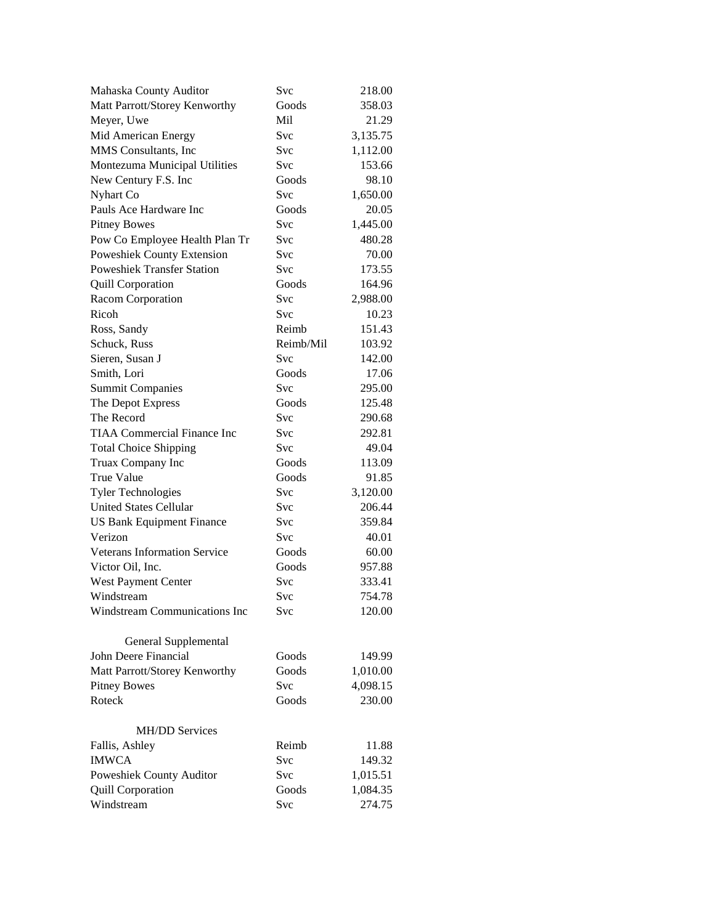| Mahaska County Auditor              | Svc        | 218.00   |
|-------------------------------------|------------|----------|
| Matt Parrott/Storey Kenworthy       | Goods      | 358.03   |
| Meyer, Uwe                          | Mil        | 21.29    |
| Mid American Energy                 | Svc        | 3,135.75 |
| MMS Consultants, Inc                | Svc        | 1,112.00 |
| Montezuma Municipal Utilities       | Svc        | 153.66   |
| New Century F.S. Inc                | Goods      | 98.10    |
| Nyhart Co                           | Svc        | 1,650.00 |
| Pauls Ace Hardware Inc              | Goods      | 20.05    |
| <b>Pitney Bowes</b>                 | Svc        | 1,445.00 |
| Pow Co Employee Health Plan Tr      | Svc        | 480.28   |
| <b>Poweshiek County Extension</b>   | Svc        | 70.00    |
| <b>Poweshiek Transfer Station</b>   | Svc        | 173.55   |
| <b>Quill Corporation</b>            | Goods      | 164.96   |
| Racom Corporation                   | Svc        | 2,988.00 |
| Ricoh                               | <b>Svc</b> | 10.23    |
| Ross, Sandy                         | Reimb      | 151.43   |
| Schuck, Russ                        | Reimb/Mil  | 103.92   |
| Sieren, Susan J                     | Svc        | 142.00   |
| Smith, Lori                         | Goods      | 17.06    |
| <b>Summit Companies</b>             | Svc        | 295.00   |
| The Depot Express                   | Goods      | 125.48   |
| The Record                          | Svc        | 290.68   |
| <b>TIAA Commercial Finance Inc</b>  | Svc        | 292.81   |
| <b>Total Choice Shipping</b>        | Svc        | 49.04    |
| Truax Company Inc                   | Goods      | 113.09   |
| True Value                          | Goods      | 91.85    |
| <b>Tyler Technologies</b>           | Svc        | 3,120.00 |
| <b>United States Cellular</b>       | Svc        | 206.44   |
| <b>US Bank Equipment Finance</b>    | Svc        | 359.84   |
| Verizon                             | Svc        | 40.01    |
| <b>Veterans Information Service</b> | Goods      | 60.00    |
| Victor Oil, Inc.                    | Goods      | 957.88   |
| West Payment Center                 | Svc        | 333.41   |
| Windstream                          | Svc        | 754.78   |
| Windstream Communications Inc       | Svc        | 120.00   |
| General Supplemental                |            |          |
| John Deere Financial                | Goods      | 149.99   |
| Matt Parrott/Storey Kenworthy       | Goods      | 1,010.00 |
| <b>Pitney Bowes</b>                 | Svc        | 4,098.15 |
| Roteck                              | Goods      | 230.00   |
| <b>MH/DD Services</b>               |            |          |
| Fallis, Ashley                      | Reimb      | 11.88    |
| <b>IMWCA</b>                        | Svc        | 149.32   |
| Poweshiek County Auditor            | Svc        | 1,015.51 |
| <b>Quill Corporation</b>            | Goods      | 1,084.35 |
| Windstream                          | Svc        | 274.75   |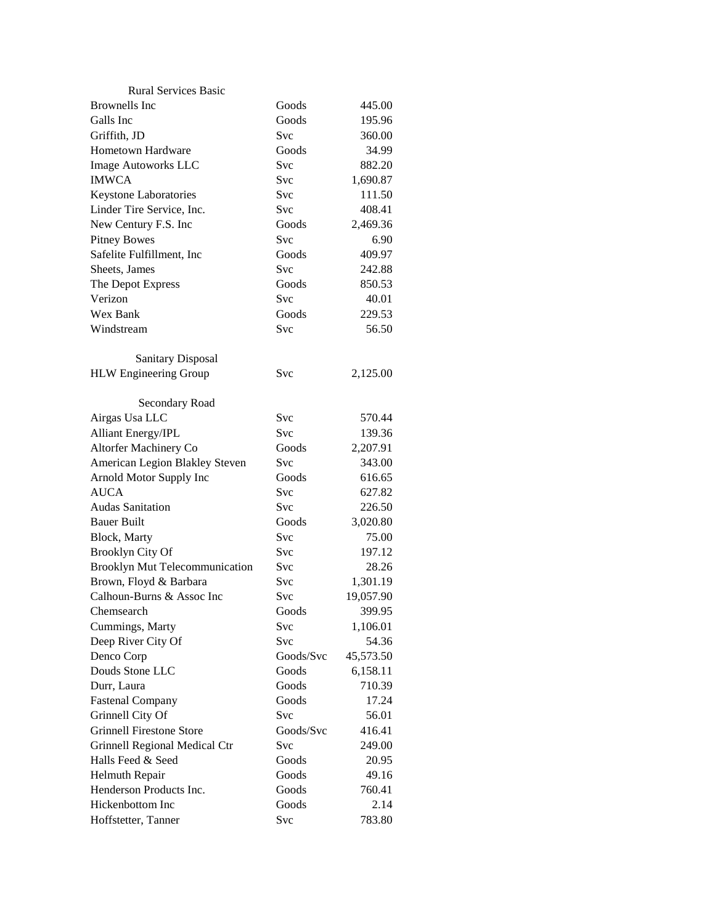| <b>Rural Services Basic</b>           |            |           |
|---------------------------------------|------------|-----------|
| <b>Brownells</b> Inc                  | Goods      | 445.00    |
| Galls Inc                             | Goods      | 195.96    |
| Griffith, JD                          | Svc        | 360.00    |
| Hometown Hardware                     | Goods      | 34.99     |
| Image Autoworks LLC                   | <b>Svc</b> | 882.20    |
| <b>IMWCA</b>                          | Svc        | 1,690.87  |
| Keystone Laboratories                 | Svc        | 111.50    |
| Linder Tire Service, Inc.             | Svc        | 408.41    |
| New Century F.S. Inc                  | Goods      | 2,469.36  |
| <b>Pitney Bowes</b>                   | Svc        | 6.90      |
| Safelite Fulfillment, Inc             | Goods      | 409.97    |
| Sheets, James                         | Svc        | 242.88    |
| The Depot Express                     | Goods      | 850.53    |
| Verizon                               | Svc        | 40.01     |
| Wex Bank                              | Goods      | 229.53    |
| Windstream                            | Svc        | 56.50     |
|                                       |            |           |
| <b>Sanitary Disposal</b>              |            |           |
| <b>HLW</b> Engineering Group          | Svc        | 2,125.00  |
|                                       |            |           |
| Secondary Road                        |            |           |
| Airgas Usa LLC                        | Svc        | 570.44    |
| <b>Alliant Energy/IPL</b>             | <b>Svc</b> | 139.36    |
| Altorfer Machinery Co                 | Goods      | 2,207.91  |
| American Legion Blakley Steven        | Svc        | 343.00    |
| Arnold Motor Supply Inc               | Goods      | 616.65    |
| <b>AUCA</b>                           | Svc        | 627.82    |
| <b>Audas Sanitation</b>               | Svc        | 226.50    |
| <b>Bauer Built</b>                    | Goods      | 3,020.80  |
| Block, Marty                          | Svc        | 75.00     |
| <b>Brooklyn City Of</b>               | Svc        | 197.12    |
| <b>Brooklyn Mut Telecommunication</b> | Svc        | 28.26     |
| Brown, Floyd & Barbara                | Svc        | 1,301.19  |
| Calhoun-Burns & Assoc Inc             | Svc        | 19,057.90 |
| Chemsearch                            | Goods      | 399.95    |
| Cummings, Marty                       | Svc        | 1,106.01  |
| Deep River City Of                    | Svc        | 54.36     |
| Denco Corp                            | Goods/Svc  | 45,573.50 |
| Douds Stone LLC                       | Goods      | 6,158.11  |
| Durr, Laura                           | Goods      | 710.39    |
| <b>Fastenal Company</b>               | Goods      | 17.24     |
| Grinnell City Of                      | Svc        | 56.01     |
| <b>Grinnell Firestone Store</b>       | Goods/Svc  | 416.41    |
| Grinnell Regional Medical Ctr         | Svc        | 249.00    |
| Halls Feed & Seed                     | Goods      | 20.95     |
| Helmuth Repair                        | Goods      | 49.16     |
| Henderson Products Inc.               | Goods      | 760.41    |
| Hickenbottom Inc                      | Goods      | 2.14      |
| Hoffstetter, Tanner                   | Svc        | 783.80    |
|                                       |            |           |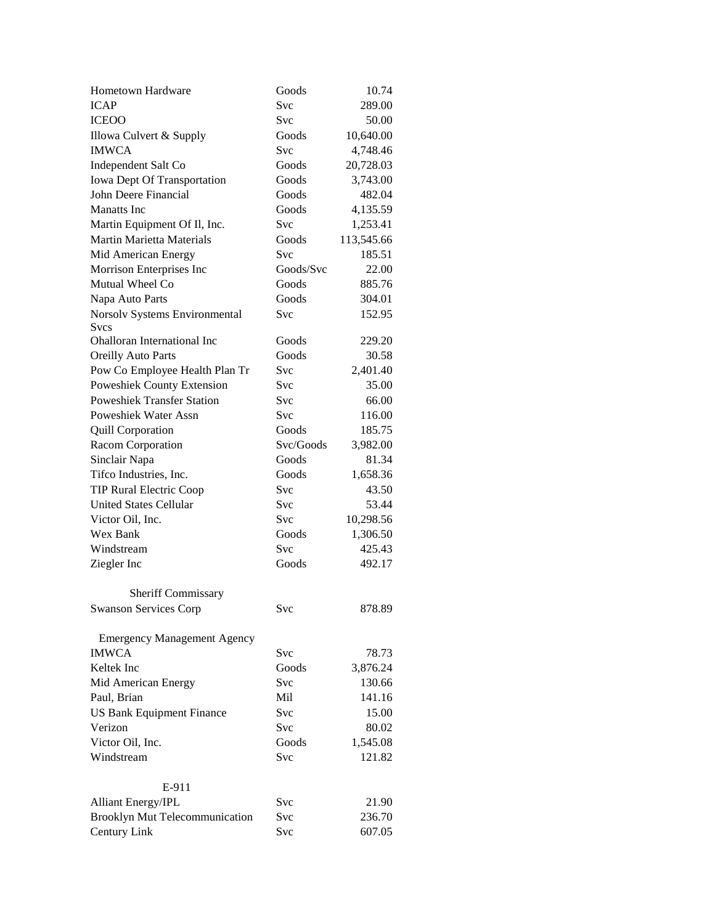| Hometown Hardware                  | Goods      | 10.74      |
|------------------------------------|------------|------------|
| <b>ICAP</b>                        | Svc        | 289.00     |
| <b>ICEOO</b>                       | <b>Svc</b> | 50.00      |
| Illowa Culvert & Supply            | Goods      | 10,640.00  |
| <b>IMWCA</b>                       | Svc        | 4,748.46   |
| Independent Salt Co                | Goods      | 20,728.03  |
| Iowa Dept Of Transportation        | Goods      | 3,743.00   |
| John Deere Financial               | Goods      | 482.04     |
| <b>Manatts</b> Inc                 | Goods      | 4,135.59   |
| Martin Equipment Of Il, Inc.       | Svc        | 1,253.41   |
| <b>Martin Marietta Materials</b>   | Goods      | 113,545.66 |
| Mid American Energy                | Svc        | 185.51     |
| Morrison Enterprises Inc           | Goods/Svc  | 22.00      |
| Mutual Wheel Co                    | Goods      | 885.76     |
| Napa Auto Parts                    | Goods      | 304.01     |
| Norsolv Systems Environmental      | Svc        | 152.95     |
| <b>Svcs</b>                        |            |            |
| Ohalloran International Inc        | Goods      | 229.20     |
| <b>Oreilly Auto Parts</b>          | Goods      | 30.58      |
| Pow Co Employee Health Plan Tr     | Svc        | 2,401.40   |
| Poweshiek County Extension         | <b>Svc</b> | 35.00      |
| <b>Poweshiek Transfer Station</b>  | Svc        | 66.00      |
| <b>Poweshiek Water Assn</b>        | Svc        | 116.00     |
| <b>Quill Corporation</b>           | Goods      | 185.75     |
| Racom Corporation                  | Svc/Goods  | 3,982.00   |
| Sinclair Napa                      | Goods      | 81.34      |
| Tifco Industries, Inc.             | Goods      | 1,658.36   |
| <b>TIP Rural Electric Coop</b>     | Svc        | 43.50      |
| <b>United States Cellular</b>      | Svc        | 53.44      |
| Victor Oil, Inc.                   | Svc        | 10,298.56  |
| Wex Bank                           | Goods      | 1,306.50   |
| Windstream                         | <b>Svc</b> | 425.43     |
| Ziegler Inc                        | Goods      | 492.17     |
|                                    |            |            |
| Sheriff Commissary                 |            |            |
| <b>Swanson Services Corp</b>       | Svc        | 878.89     |
| <b>Emergency Management Agency</b> |            |            |
| <b>IMWCA</b>                       | Svc        | 78.73      |
| Keltek Inc                         | Goods      | 3,876.24   |
| Mid American Energy                | Svc        | 130.66     |
| Paul, Brian                        | Mil        | 141.16     |
| <b>US Bank Equipment Finance</b>   | Svc        | 15.00      |
| Verizon                            | <b>Svc</b> | 80.02      |
| Victor Oil, Inc.                   | Goods      | 1,545.08   |
| Windstream                         | Svc        | 121.82     |
|                                    |            |            |
| E-911                              |            |            |
| <b>Alliant Energy/IPL</b>          | Svc        | 21.90      |
| Brooklyn Mut Telecommunication     | Svc        | 236.70     |
| Century Link                       | Svc        | 607.05     |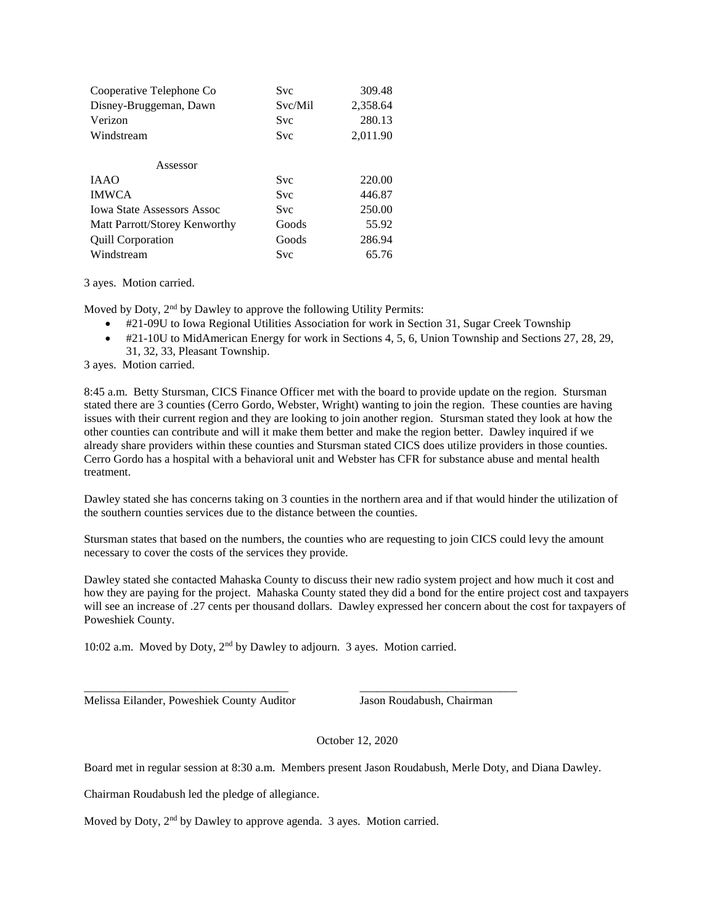| Cooperative Telephone Co          | <b>Svc</b> | 309.48   |
|-----------------------------------|------------|----------|
| Disney-Bruggeman, Dawn            | Svc/Mil    | 2,358.64 |
| Verizon                           | Svc        | 280.13   |
| Windstream                        | Svc        | 2,011.90 |
| Assessor                          |            |          |
| <b>JAAO</b>                       | Svc        | 220.00   |
| <b>IMWCA</b>                      | Svc        | 446.87   |
| <b>Iowa State Assessors Assoc</b> | Svc        | 250.00   |
| Matt Parrott/Storey Kenworthy     | Goods      | 55.92    |
| <b>Quill Corporation</b>          | Goods      | 286.94   |
| Windstream                        | Svc        | 65.76    |

3 ayes. Motion carried.

Moved by Doty, 2<sup>nd</sup> by Dawley to approve the following Utility Permits:

- #21-09U to Iowa Regional Utilities Association for work in Section 31, Sugar Creek Township
- $\bullet\quad$ #21-10U to MidAmerican Energy for work in Sections 4, 5, 6, Union Township and Sections 27, 28, 29, 31, 32, 33, Pleasant Township.

3 ayes. Motion carried.

8:45 a.m. Betty Stursman, CICS Finance Officer met with the board to provide update on the region. Stursman stated there are 3 counties (Cerro Gordo, Webster, Wright) wanting to join the region. These counties are having issues with their current region and they are looking to join another region. Stursman stated they look at how the other counties can contribute and will it make them better and make the region better. Dawley inquired if we already share providers within these counties and Stursman stated CICS does utilize providers in those counties. Cerro Gordo has a hospital with a behavioral unit and Webster has CFR for substance abuse and mental health treatment.

Dawley stated she has concerns taking on 3 counties in the northern area and if that would hinder the utilization of the southern counties services due to the distance between the counties.

Stursman states that based on the numbers, the counties who are requesting to join CICS could levy the amount necessary to cover the costs of the services they provide.

Dawley stated she contacted Mahaska County to discuss their new radio system project and how much it cost and how they are paying for the project. Mahaska County stated they did a bond for the entire project cost and taxpayers will see an increase of .27 cents per thousand dollars. Dawley expressed her concern about the cost for taxpayers of Poweshiek County.

10:02 a.m. Moved by Doty, 2nd by Dawley to adjourn. 3 ayes. Motion carried.

\_\_\_\_\_\_\_\_\_\_\_\_\_\_\_\_\_\_\_\_\_\_\_\_\_\_\_\_\_\_\_\_\_\_\_ \_\_\_\_\_\_\_\_\_\_\_\_\_\_\_\_\_\_\_\_\_\_\_\_\_\_\_

Melissa Eilander, Poweshiek County Auditor Jason Roudabush, Chairman

October 12, 2020

Board met in regular session at 8:30 a.m. Members present Jason Roudabush, Merle Doty, and Diana Dawley.

Chairman Roudabush led the pledge of allegiance.

Moved by Doty, 2<sup>nd</sup> by Dawley to approve agenda. 3 ayes. Motion carried.